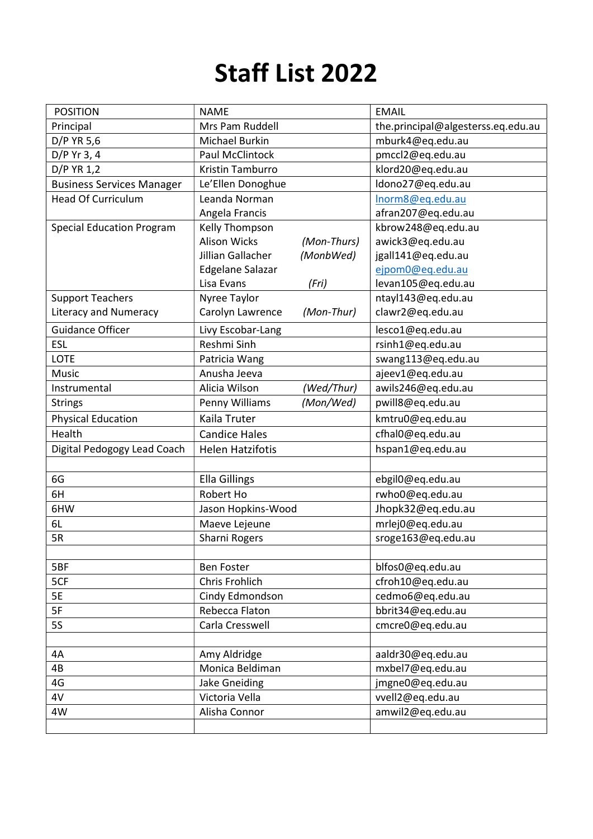## Staff List 2022

| <b>POSITION</b>                  | <b>NAME</b>             |             | <b>EMAIL</b>                       |
|----------------------------------|-------------------------|-------------|------------------------------------|
| Principal                        | Mrs Pam Ruddell         |             | the.principal@algesterss.eq.edu.au |
| D/P YR 5,6                       | Michael Burkin          |             | mburk4@eq.edu.au                   |
| $D/P$ Yr 3, 4                    | Paul McClintock         |             | pmccl2@eq.edu.au                   |
| D/P YR 1,2                       | Kristin Tamburro        |             | klord20@eq.edu.au                  |
| <b>Business Services Manager</b> | Le'Ellen Donoghue       |             | Idono27@eq.edu.au                  |
| <b>Head Of Curriculum</b>        | Leanda Norman           |             | Inorm8@eq.edu.au                   |
|                                  | Angela Francis          |             | afran207@eq.edu.au                 |
| <b>Special Education Program</b> | Kelly Thompson          |             | kbrow248@eq.edu.au                 |
|                                  | <b>Alison Wicks</b>     | (Mon-Thurs) | awick3@eq.edu.au                   |
|                                  | Jillian Gallacher       | (MonbWed)   | jgall141@eq.edu.au                 |
|                                  | <b>Edgelane Salazar</b> |             | ejpom0@eq.edu.au                   |
|                                  | Lisa Evans              | (Fri)       | levan105@eq.edu.au                 |
| <b>Support Teachers</b>          | Nyree Taylor            |             | ntayl143@eq.edu.au                 |
| <b>Literacy and Numeracy</b>     | Carolyn Lawrence        | (Mon-Thur)  | clawr2@eq.edu.au                   |
| <b>Guidance Officer</b>          | Livy Escobar-Lang       |             | lesco1@eq.edu.au                   |
| <b>ESL</b>                       | Reshmi Sinh             |             | rsinh1@eq.edu.au                   |
| <b>LOTE</b>                      | Patricia Wang           |             | swang113@eq.edu.au                 |
| Music                            | Anusha Jeeva            |             | ajeev1@eq.edu.au                   |
| Instrumental                     | Alicia Wilson           | (Wed/Thur)  | awils246@eq.edu.au                 |
| <b>Strings</b>                   | Penny Williams          | (Mon/Wed)   | pwill8@eq.edu.au                   |
| <b>Physical Education</b>        | Kaila Truter            |             | kmtru0@eq.edu.au                   |
| Health                           | <b>Candice Hales</b>    |             | cfhal0@eq.edu.au                   |
| Digital Pedogogy Lead Coach      | <b>Helen Hatzifotis</b> |             | hspan1@eq.edu.au                   |
|                                  |                         |             |                                    |
| 6G                               | <b>Ella Gillings</b>    |             | ebgil0@eq.edu.au                   |
| 6H                               | Robert Ho               |             | rwho0@eq.edu.au                    |
| 6HW                              | Jason Hopkins-Wood      |             | Jhopk32@eq.edu.au                  |
| 6L                               | Maeve Lejeune           |             | mrlej0@eq.edu.au                   |
| 5R                               | Sharni Rogers           |             | sroge163@eq.edu.au                 |
|                                  |                         |             |                                    |
| 5BF                              | <b>Ben Foster</b>       |             | blfos0@eq.edu.au                   |
| 5CF                              | Chris Frohlich          |             | cfroh10@eq.edu.au                  |
| <b>5E</b>                        | Cindy Edmondson         |             | cedmo6@eq.edu.au                   |
| 5F                               | Rebecca Flaton          |             | bbrit34@eq.edu.au                  |
| <b>5S</b>                        | Carla Cresswell         |             | cmcre0@eq.edu.au                   |
|                                  |                         |             |                                    |
| 4A                               | Amy Aldridge            |             | aaldr30@eq.edu.au                  |
| 4B                               | Monica Beldiman         |             | mxbel7@eq.edu.au                   |
| 4G                               | Jake Gneiding           |             | jmgne0@eq.edu.au                   |
| 4V                               | Victoria Vella          |             | vvell2@eq.edu.au                   |
| 4W                               | Alisha Connor           |             | amwil2@eq.edu.au                   |
|                                  |                         |             |                                    |